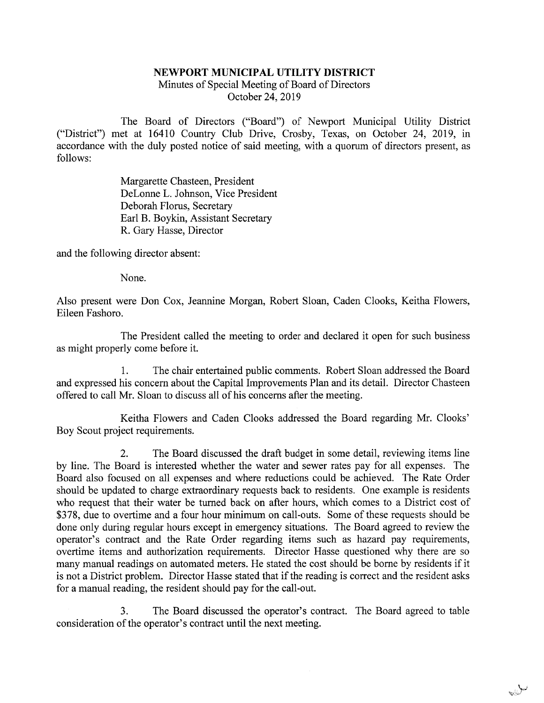## NEWPORT MUNICIPAL UTILITY DISTRICT

Minutes of Special Meeting of Board of Directors October 24, 2019

The Board of Directors ("Board") of Newport Municipal Utility District ("District") met at 16410 Country Club Drive, Crosby, Texas, on October 24, 2019, in accordance with the duly posted notice of said meeting, with a quorum of directors present, as follows:

> Margarette Chasteen, President DeLonne L. Johnson, Vice President Deborah Floms, Secretary Earl B. Boykin, Assistant Secretary R. Gary Hasse, Director

and the following director absent:

None.

Also present were Don Cox, Jeannine Morgan, Robert Sloan, Caden Clooks, Keitha Flowers, Eileen Fashoro.

The President called the meeting to order and declared it open for such business as might properly come before it.

1. The chair entertained public comments. Robert Sloan addressed the Board and expressed his concern about the Capital Improvements Plan and its detail. Director Chasteen offered to call Mr. Sloan to discuss all of his concerns after the meeting.

Keitha Flowers and Caden Clooks addressed the Board regarding Mr. Clooks' Boy Scout project requirements.

2. The Board discussed the draft budget in some detail, reviewing items line by line. The Board is interested whether the water and sewer rates pay for all expenses. The Board also focused on all expenses and where reductions could be achieved. The Rate Order should be updated to charge extraordinary requests back to residents. One example is residents who request that their water be turned back on after hours, which comes to a District cost of \$378, due to overtime and a four hour minimum on call-outs. Some of these requests should be done only during regular hours except in emergency situations. The Board agreed to review the operator's contract and the Rate Order regarding items such as hazard pay requirements, overtime items and authorization requirements. Director Hasse questioned why there are so many manual readings on automated meters. He stated the cost should be borne by residents if it is not a District problem. Director Hasse stated that if the reading is correct and the resident asks for a manual reading, the resident should pay for the call-out.

3. The Board discussed the operator's contract. The Board agreed to table consideration of the operator's contract until the next meeting.

ىيىلى<sub>دۇ.</sub>